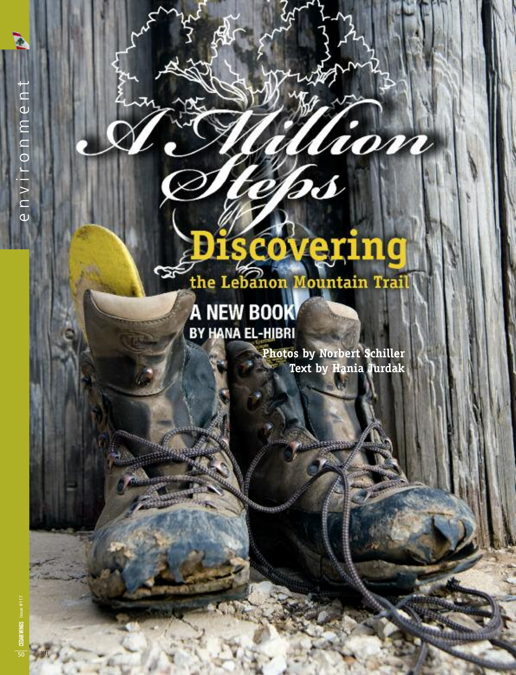## iscovering the Lebanon Mountain Trail

DS

## **A NEW BOOK** BY HANA EL-HIBRI

య

**Photos by Norbert Schiller Text by Hania Jurdak**

hom

50

[01]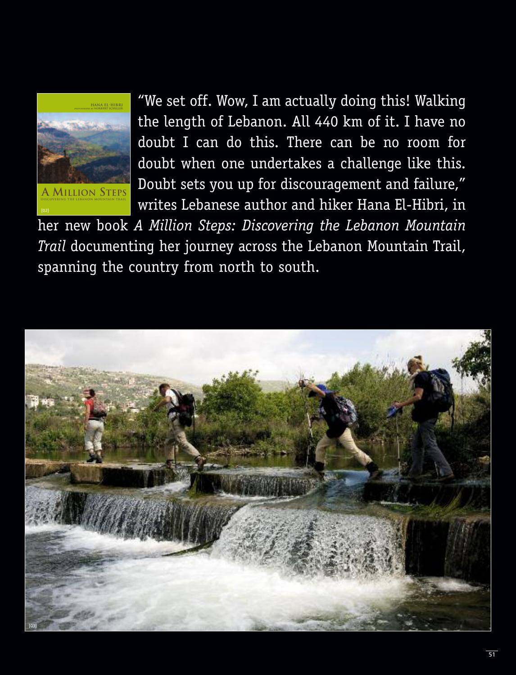

"We set off. Wow, I am actually doing this! Walking the length of Lebanon. All 440 km of it. I have no doubt I can do this. There can be no room for doubt when one undertakes a challenge like this. Doubt sets you up for discouragement and failure," writes Lebanese author and hiker Hana El-Hibri, in

her new book *A Million Steps: Discovering the Lebanon Mountain Trail* documenting her journey across the Lebanon Mountain Trail, spanning the country from north to south.

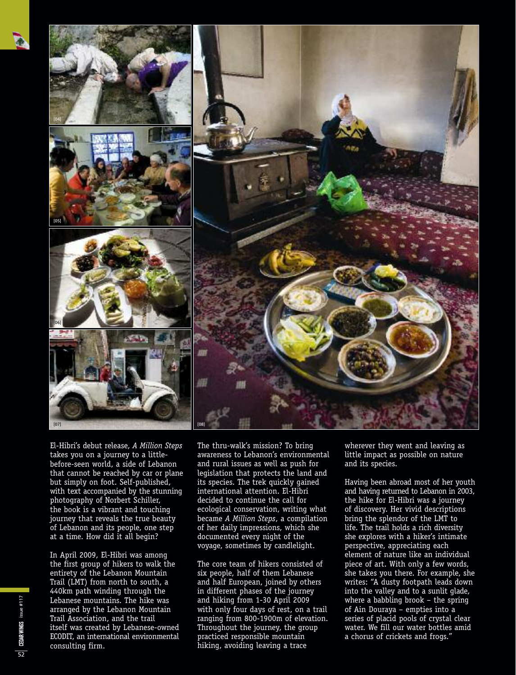



El-Hibri's debut release, *A Million Steps* takes you on a journey to a littlebefore-seen world, a side of Lebanon that cannot be reached by car or plane but simply on foot. Self-published, with text accompanied by the stunning photography of Norbert Schiller, the book is a vibrant and touching journey that reveals the true beauty of Lebanon and its people, one step at a time. How did it all begin?

In April 2009, El-Hibri was among the first group of hikers to walk the entirety of the Lebanon Mountain Trail (LMT) from north to south, a 440km path winding through the Lebanese mountains. The hike was arranged by the Lebanon Mountain Trail Association, and the trail itself was created by Lebanese-owned ECODIT, an international environmental consulting firm.

The thru-walk's mission? To bring awareness to Lebanon's environmental and rural issues as well as push for legislation that protects the land and its species. The trek quickly gained international attention. El-Hibri decided to continue the call for ecological conservation, writing what became *A Million Steps*, a compilation of her daily impressions, which she documented every night of the voyage, sometimes by candlelight.

The core team of hikers consisted of six people, half of them Lebanese and half European, joined by others in different phases of the journey and hiking from 1-30 April 2009 with only four days of rest, on a trail ranging from 800-1900m of elevation. Throughout the journey, the group practiced responsible mountain hiking, avoiding leaving a trace

wherever they went and leaving as little impact as possible on nature and its species.

Having been abroad most of her youth and having returned to Lebanon in 2003, the hike for El-Hibri was a journey of discovery. Her vivid descriptions bring the splendor of the LMT to life. The trail holds a rich diversity she explores with a hiker's intimate perspective, appreciating each element of nature like an individual piece of art. With only a few words, she takes you there. For example, she writes: "A dusty footpath leads down into the valley and to a sunlit glade, where a babbling brook – the spring of Ain Douraya – empties into a series of placid pools of crystal clear water. We fill our water bottles amid a chorus of crickets and frogs."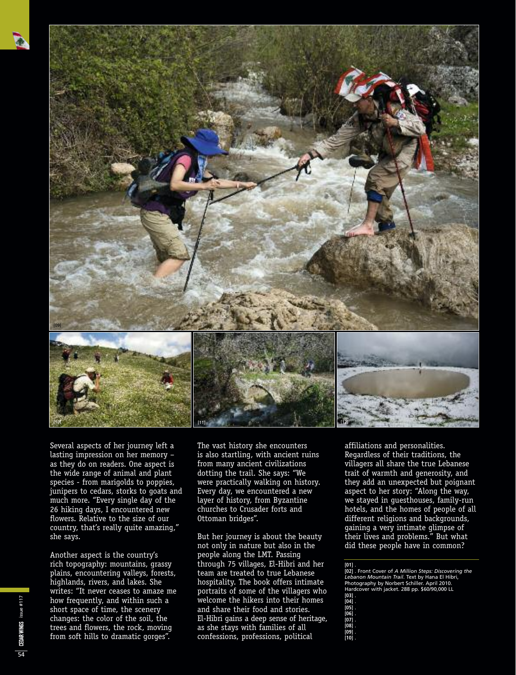

Several aspects of her journey left a lasting impression on her memory – as they do on readers. One aspect is the wide range of animal and plant species - from marigolds to poppies, junipers to cedars, storks to goats and much more. "Every single day of the 26 hiking days, I encountered new flowers. Relative to the size of our country, that's really quite amazing," she says.

Another aspect is the country's rich topography: mountains, grassy plains, encountering valleys, forests, highlands, rivers, and lakes. She writes: "It never ceases to amaze me how frequently, and within such a short space of time, the scenery changes: the color of the soil, the trees and flowers, the rock, moving from soft hills to dramatic gorges".

The vast history she encounters is also startling, with ancient ruins from many ancient civilizations dotting the trail. She says: "We were practically walking on history. Every day, we encountered a new layer of history, from Byzantine churches to Crusader forts and Ottoman bridges".

But her journey is about the beauty not only in nature but also in the people along the LMT. Passing through 75 villages, El-Hibri and her team are treated to true Lebanese hospitality. The book offers intimate portraits of some of the villagers who welcome the hikers into their homes and share their food and stories. El-Hibri gains a deep sense of heritage, as she stays with families of all confessions, professions, political

affiliations and personalities. Regardless of their traditions, the villagers all share the true Lebanese trait of warmth and generosity, and they add an unexpected but poignant aspect to her story: "Along the way, we stayed in guesthouses, family-run hotels, and the homes of people of all different religions and backgrounds, gaining a very intimate glimpse of their lives and problems." But what did these people have in common?

**[01]** . **[02]** . Front Cover of *A Million Steps: Discovering the Lebanon Mountain Trail*. Text by Hana El Hibri, Photography by Norbert Schiller. April 2010. Hardcover with jacket. 288 pp. \$60/90,000 LL

- 
- 
- 
- 
- **[03]** . **[04]** . **[05]** . **[06]** . **[07]** . **[08]** . **[09]** .
- **[10]** .

CEDAR WINGS issue #117 issue #117 54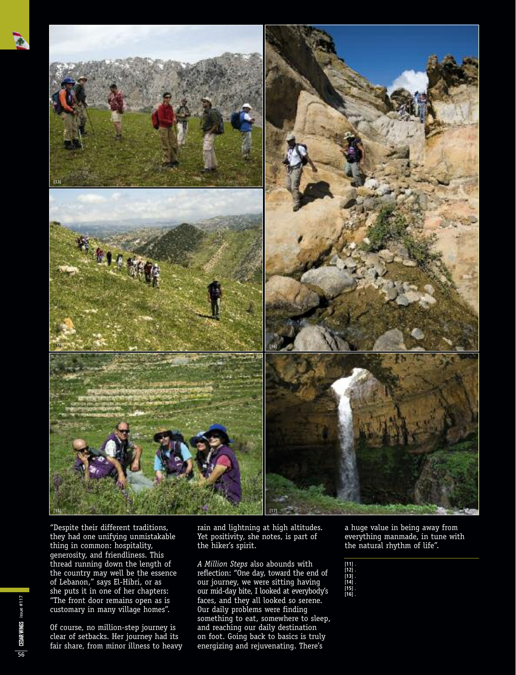

"Despite their different traditions, they had one unifying unmistakable thing in common: hospitality, generosity, and friendliness. This thread running down the length of the country may well be the essence of Lebanon," says El-Hibri, or as she puts it in one of her chapters: "The front door remains open as is customary in many village homes".

Of course, no million-step journey is clear of setbacks. Her journey had its fair share, from minor illness to heavy rain and lightning at high altitudes. Yet positivity, she notes, is part of the hiker's spirit.

*A Million Steps* also abounds with reflection: "One day, toward the end of our journey, we were sitting having our mid-day bite, I looked at everybody's faces, and they all looked so serene. Our daily problems were finding something to eat, somewhere to sleep, and reaching our daily destination on foot. Going back to basics is truly energizing and rejuvenating. There's

a huge value in being away from everything manmade, in tune with the natural rhythm of life".

**[11]** . **[12]** . **[13]** . **[14]** . **[15]** . **[16]** .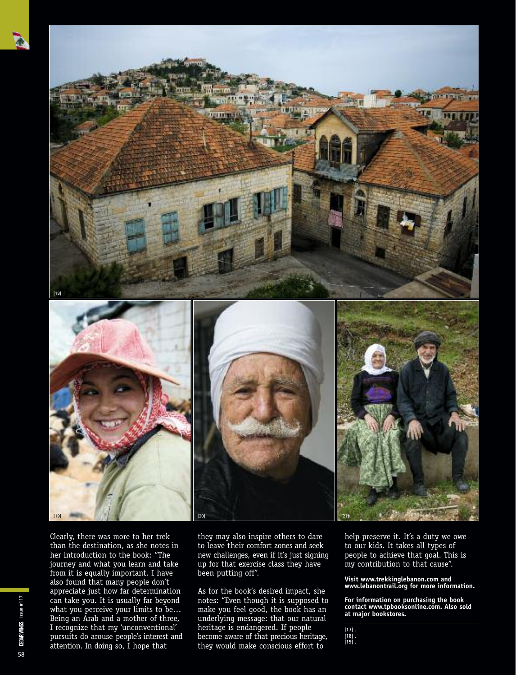





Clearly, there was more to her trek than the destination, as she notes in her introduction to the book: "The journey and what you learn and take from it is equally important. I have also found that many people don't appreciate just how far determination can take you. It is usually far beyond what you perceive your limits to be… Being an Arab and a mother of three, I recognize that my 'unconventional' pursuits do arouse people's interest and attention. In doing so, I hope that

they may also inspire others to dare to leave their comfort zones and seek new challenges, even if it's just signing up for that exercise class they have been putting off".

As for the book's desired impact, she notes: "Even though it is supposed to make you feel good, the book has an underlying message: that our natural heritage is endangered. If people become aware of that precious heritage, they would make conscious effort to

help preserve it. It's a duty we owe to our kids. It takes all types of people to achieve that goal. This is my contribution to that cause".

**Visit www.trekkinglebanon.com and www.lebanontrail.org for more information.**

**For information on purchasing the book contact www.tpbooksonline.com. Also sold at major bookstores.**

**[17]** . **[18]** . **[19]** .

CEDAR WINGS issue #117 58

issue #117